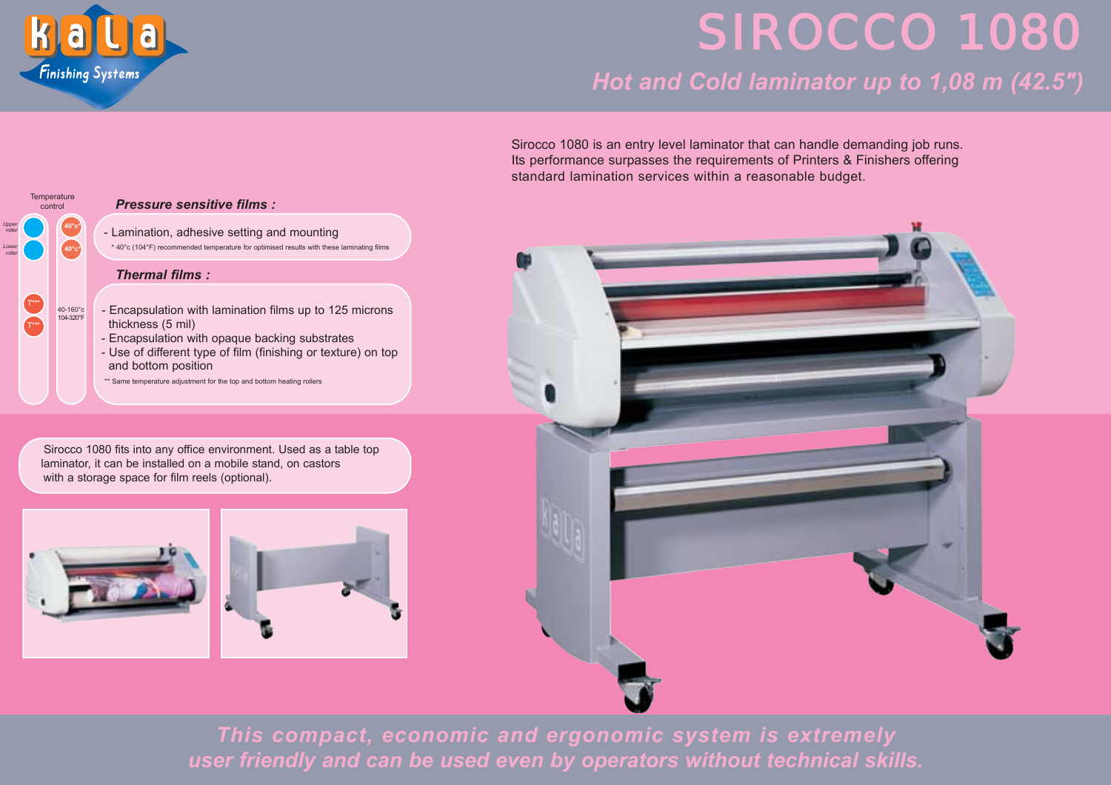

**40°c\* 40°c\***

40-160°c 104-320°F

**Temperature** control

T°\*\* T°\*\*

*Upper roller Lower roller*

## SIROCCO 1080

## *Hot and Cold laminator up to 1,08 m (42.5")*

Sirocco 1080 is an entry level laminator that can handle demanding job runs. Its performance surpasses the requirements of Printers & Finishers offering standard lamination services within a reasonable budget.



*This compact, economic and ergonomic system is extremely user friendly and can be used even by operators without technical skills.*